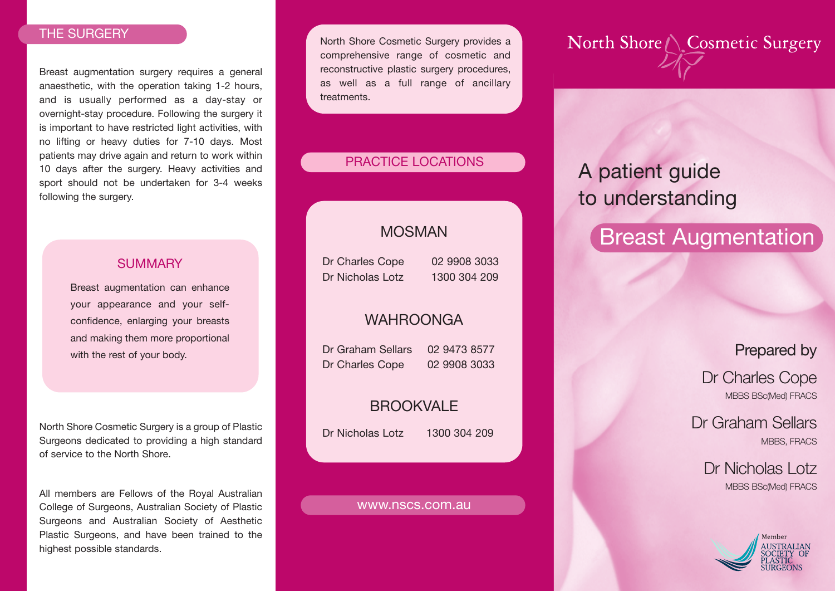### THE SURGERY

Breast augmentation surgery requires a general anaesthetic, with the operation taking 1-2 hours, and is usually performed as a day-stay or overnight-stay procedure. Following the surgery it is important to have restricted light activities, with no lifting or heavy duties for 7-10 days. Most patients may drive again and return to work within 10 days after the surgery. Heavy activities and sport should not be undertaken for 3-4 weeks following the surgery.

### **SUMMARY**

Breast augmentation can enhance your appearance and your selfconfidence, enlarging your breasts and making them more proportional with the rest of your body.

North Shore Cosmetic Surgery is a group of Plastic Surgeons dedicated to providing a high standard of service to the North Shore.

All members are Fellows of the Royal Australian College of Surgeons, Australian Society of Plastic Surgeons and Australian Society of Aesthetic Plastic Surgeons, and have been trained to the highest possible standards.

North Shore Cosmetic Surgery provides a comprehensive range of cosmetic and reconstructive plastic surgery procedures, as well as a full range of ancillary treatments.

### PRACTICE LOCATIONS

## MOSMAN

Dr Charles Cope 02 9908 3033 Dr Nicholas Lotz 1300 304 209

### **WAHROONGA**

Dr Graham Sellars 02 9473 8577 Dr Charles Cope 02 9908 3033

## **BROOKVALE**

Dr Nicholas Lotz 1300 304 209

#### www.nscs.com.au

# North Shore ( Cosmetic Surgery

# A patient guide to understanding

# **Breast Augmentation**

Prepared by

Dr Charles Cope MBBS BSc(Med) FRACS

Dr Graham Sellars MBBS, FRACS

> Dr Nicholas Lotz MBBS BSc(Med) FRACS